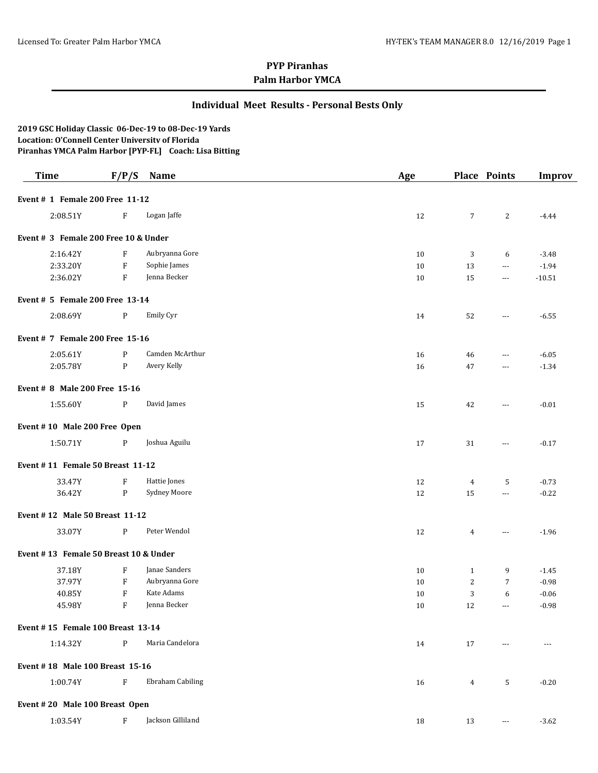### **Individual Meet Results - Personal Bests Only**

**2019 GSC Holiday Classic 06-Dec-19 to 08-Dec-19 Yards Location: O'Connell Center University of Florida Piranhas YMCA Palm Harbor [PYP-FL] Coach: Lisa Bitting**

| <b>Time</b>                           | F/P/S        | Name                    | Age |                | <b>Place Points</b>      | <b>Improv</b> |
|---------------------------------------|--------------|-------------------------|-----|----------------|--------------------------|---------------|
| Event # 1 Female 200 Free 11-12       |              |                         |     |                |                          |               |
| 2:08.51Y                              | F            | Logan Jaffe             | 12  | $\overline{7}$ | 2                        | $-4.44$       |
| Event # 3 Female 200 Free 10 & Under  |              |                         |     |                |                          |               |
| 2:16.42Y                              | F            | Aubryanna Gore          | 10  | 3              | 6                        | $-3.48$       |
| 2:33.20Y                              | F            | Sophie James            | 10  | 13             | $\ldots$                 | $-1.94$       |
| 2:36.02Y                              | F            | Jenna Becker            | 10  | 15             | $\scriptstyle\cdots$     | $-10.51$      |
| Event # 5 Female 200 Free 13-14       |              |                         |     |                |                          |               |
| 2:08.69Y                              | P            | Emily Cyr               | 14  | 52             | $\sim$ $\sim$ $\sim$     | $-6.55$       |
| Event # 7 Female 200 Free 15-16       |              |                         |     |                |                          |               |
| 2:05.61Y                              | P            | Camden McArthur         | 16  | 46             | $\overline{\phantom{a}}$ | $-6.05$       |
| 2:05.78Y                              | $\mathbf{P}$ | Avery Kelly             | 16  | 47             | $\cdots$                 | $-1.34$       |
| Event # 8 Male 200 Free 15-16         |              |                         |     |                |                          |               |
| 1:55.60Y                              | P            | David James             | 15  | 42             | $\cdots$                 | $-0.01$       |
| Event #10 Male 200 Free Open          |              |                         |     |                |                          |               |
| 1:50.71Y                              | P            | Joshua Aguilu           | 17  | 31             | $\scriptstyle\cdots$     | $-0.17$       |
| Event #11 Female 50 Breast 11-12      |              |                         |     |                |                          |               |
| 33.47Y                                | F            | Hattie Jones            | 12  | 4              | 5                        | $-0.73$       |
| 36.42Y                                | $\mathbf{P}$ | Sydney Moore            | 12  | 15             | $\sim$ $\sim$            | $-0.22$       |
| Event #12 Male 50 Breast 11-12        |              |                         |     |                |                          |               |
| 33.07Y                                | P            | Peter Wendol            | 12  | $\overline{4}$ | ---                      | $-1.96$       |
| Event #13 Female 50 Breast 10 & Under |              |                         |     |                |                          |               |
| 37.18Y                                | F            | Janae Sanders           | 10  | $\mathbf{1}$   | 9                        | $-1.45$       |
| 37.97Y                                | F            | Aubryanna Gore          | 10  | $\overline{2}$ | 7                        | $-0.98$       |
| 40.85Y                                | F            | Kate Adams              | 10  | 3              | 6                        | $-0.06$       |
| 45.98Y                                | ${\bf F}$    | Jenna Becker            | 10  | 12             | $\sim$ $\sim$ $\sim$     | $-0.98$       |
| Event #15 Female 100 Breast 13-14     |              |                         |     |                |                          |               |
| 1:14.32Y                              | $\mathbf{P}$ | Maria Candelora         | 14  | 17             | $---$                    | $- - -$       |
| Event #18 Male 100 Breast 15-16       |              |                         |     |                |                          |               |
| 1:00.74Y                              | $\rm F$      | <b>Ebraham Cabiling</b> | 16  | $\overline{4}$ | 5                        | $-0.20$       |
| Event #20 Male 100 Breast Open        |              |                         |     |                |                          |               |
| 1:03.54Y                              | F            | Jackson Gilliland       | 18  | 13             | $\scriptstyle\cdots$     | $-3.62$       |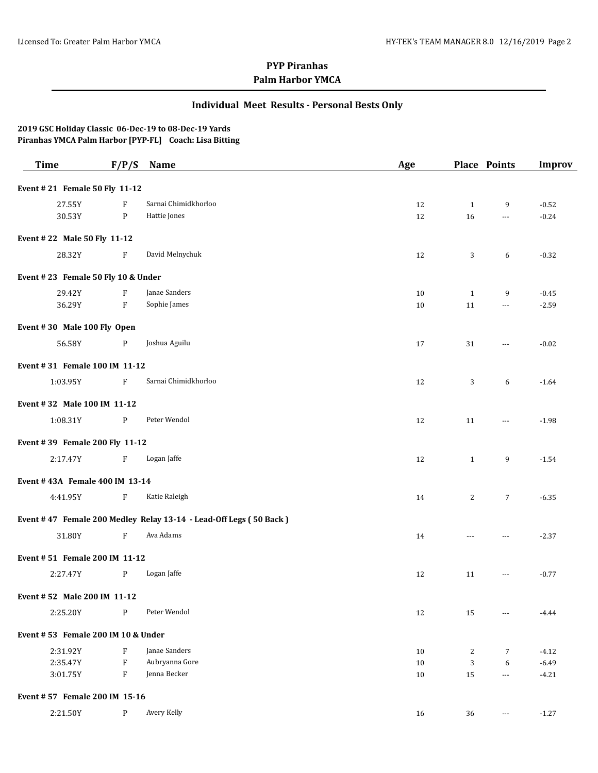### **Individual Meet Results - Personal Bests Only**

| <b>Time</b>                        | F/P/S                     | Name                                                              | Age |              | Place Points   | <b>Improv</b> |
|------------------------------------|---------------------------|-------------------------------------------------------------------|-----|--------------|----------------|---------------|
| Event #21 Female 50 Fly 11-12      |                           |                                                                   |     |              |                |               |
| 27.55Y                             | F                         | Sarnai Chimidkhorloo                                              | 12  | $\mathbf{1}$ | 9              | $-0.52$       |
| 30.53Y                             | $\mathbf{P}$              | Hattie Jones                                                      | 12  | 16           | $\overline{a}$ | $-0.24$       |
| Event #22 Male 50 Fly 11-12        |                           |                                                                   |     |              |                |               |
| 28.32Y                             | F                         | David Melnychuk                                                   | 12  | 3            | 6              | $-0.32$       |
| Event #23 Female 50 Fly 10 & Under |                           |                                                                   |     |              |                |               |
| 29.42Y                             | F                         | Janae Sanders                                                     | 10  | $\mathbf{1}$ | 9              | $-0.45$       |
| 36.29Y                             | $\boldsymbol{\mathrm{F}}$ | Sophie James                                                      | 10  | 11           | ---            | $-2.59$       |
| Event #30 Male 100 Fly Open        |                           |                                                                   |     |              |                |               |
| 56.58Y                             | P                         | Joshua Aguilu                                                     | 17  | 31           | $---$          | $-0.02$       |
| Event #31 Female 100 IM 11-12      |                           |                                                                   |     |              |                |               |
| 1:03.95Y                           | F                         | Sarnai Chimidkhorloo                                              | 12  | 3            | 6              | $-1.64$       |
| Event #32 Male 100 IM 11-12        |                           |                                                                   |     |              |                |               |
| 1:08.31Y                           | $\mathbf{P}$              | Peter Wendol                                                      | 12  | 11           | $\cdots$       | $-1.98$       |
| Event #39 Female 200 Fly 11-12     |                           |                                                                   |     |              |                |               |
| 2:17.47Y                           | F                         | Logan Jaffe                                                       | 12  | $\mathbf{1}$ | 9              | $-1.54$       |
| Event #43A Female 400 IM 13-14     |                           |                                                                   |     |              |                |               |
| 4:41.95Y                           | F                         | Katie Raleigh                                                     | 14  | 2            | $\overline{7}$ | $-6.35$       |
|                                    |                           | Event #47 Female 200 Medley Relay 13-14 - Lead-Off Legs (50 Back) |     |              |                |               |
| 31.80Y                             | $\boldsymbol{\mathrm{F}}$ | Ava Adams                                                         | 14  | ---          | ---            | $-2.37$       |
| Event #51 Female 200 IM 11-12      |                           |                                                                   |     |              |                |               |
| 2:27.47Y                           | P                         | Logan Jaffe                                                       | 12  | 11           | $\cdots$       | $-0.77$       |
| Event #52 Male 200 IM 11-12        |                           |                                                                   |     |              |                |               |
| 2:25.20Y                           | P                         | Peter Wendol                                                      | 12  | 15           | ---            | $-4.44$       |
| Event #53 Female 200 IM 10 & Under |                           |                                                                   |     |              |                |               |
| 2:31.92Y                           | F                         | Janae Sanders                                                     | 10  | 2            | 7              | $-4.12$       |
| 2:35.47Y                           | $\boldsymbol{\mathrm{F}}$ | Aubryanna Gore                                                    | 10  | 3            | 6              | $-6.49$       |
| 3:01.75Y                           | F                         | Jenna Becker                                                      | 10  | 15           | $\overline{a}$ | $-4.21$       |
| Event #57 Female 200 IM 15-16      |                           |                                                                   |     |              |                |               |
| 2:21.50Y                           | $\mathbf{P}$              | Avery Kelly                                                       | 16  | 36           | ---            | $-1.27$       |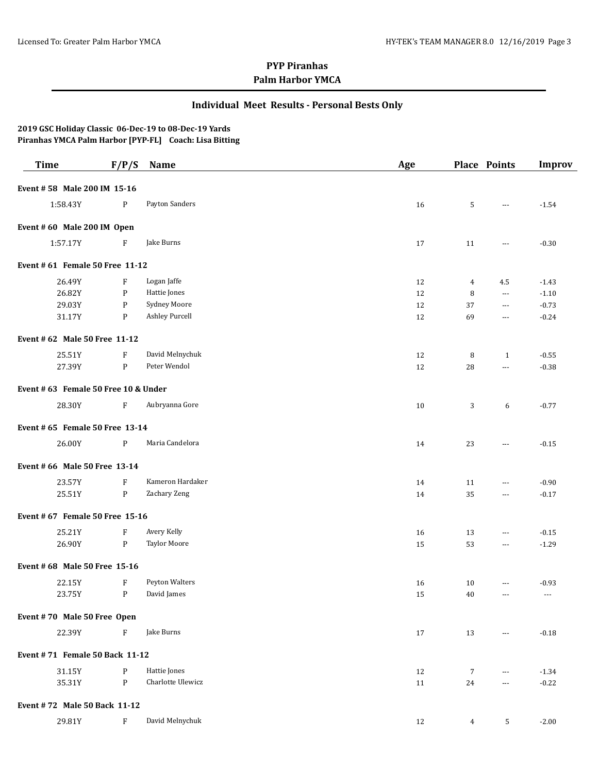### **Individual Meet Results - Personal Bests Only**

| <b>Time</b>                          | F/P/S                     | Name                  | Age    |                | <b>Place Points</b>  | <b>Improv</b> |
|--------------------------------------|---------------------------|-----------------------|--------|----------------|----------------------|---------------|
| Event #58 Male 200 IM 15-16          |                           |                       |        |                |                      |               |
| 1:58.43Y                             | P                         | Payton Sanders        | 16     | 5              | ---                  | $-1.54$       |
| Event #60 Male 200 IM Open           |                           |                       |        |                |                      |               |
| 1:57.17Y                             | F                         | Jake Burns            | 17     | 11             | $\cdots$             | $-0.30$       |
| Event # 61 Female 50 Free 11-12      |                           |                       |        |                |                      |               |
| 26.49Y                               | F                         | Logan Jaffe           | 12     | 4              | 4.5                  | $-1.43$       |
| 26.82Y                               | P                         | Hattie Jones          | 12     | 8              | ---                  | $-1.10$       |
| 29.03Y                               | P                         | Sydney Moore          | 12     | 37             | $\cdots$             | $-0.73$       |
| 31.17Y                               | P                         | <b>Ashley Purcell</b> | 12     | 69             | $\cdots$             | $-0.24$       |
| Event # 62 Male 50 Free 11-12        |                           |                       |        |                |                      |               |
| 25.51Y                               | $\boldsymbol{\mathrm{F}}$ | David Melnychuk       | 12     | 8              | 1                    | $-0.55$       |
| 27.39Y                               | $\mathbf{P}$              | Peter Wendol          | 12     | 28             | ---                  | $-0.38$       |
| Event # 63 Female 50 Free 10 & Under |                           |                       |        |                |                      |               |
| 28.30Y                               | F                         | Aubryanna Gore        | 10     | 3              | 6                    | $-0.77$       |
| Event # 65 Female 50 Free 13-14      |                           |                       |        |                |                      |               |
| 26.00Y                               | P                         | Maria Candelora       | 14     | 23             | $\cdots$             | $-0.15$       |
| Event # 66 Male 50 Free 13-14        |                           |                       |        |                |                      |               |
| 23.57Y                               | $\boldsymbol{\mathrm{F}}$ | Kameron Hardaker      | 14     | 11             | $\cdots$             | $-0.90$       |
| 25.51Y                               | $\mathbf{P}$              | Zachary Zeng          | 14     | 35             | $\cdots$             | $-0.17$       |
| Event # 67 Female 50 Free 15-16      |                           |                       |        |                |                      |               |
| 25.21Y                               | $\boldsymbol{\mathrm{F}}$ | Avery Kelly           | 16     | 13             | ---                  | $-0.15$       |
| 26.90Y                               | $\mathbf{P}$              | <b>Taylor Moore</b>   | 15     | 53             | $\scriptstyle\cdots$ | $-1.29$       |
| Event # 68 Male 50 Free 15-16        |                           |                       |        |                |                      |               |
| 22.15Y                               | F                         | Peyton Walters        | 16     | 10             | $\cdots$             | $-0.93$       |
| 23.75Y                               | $\mathbf{P}$              | David James           | $15\,$ | 40             |                      |               |
| Event #70 Male 50 Free Open          |                           |                       |        |                |                      |               |
| 22.39Y                               | $\boldsymbol{\mathrm{F}}$ | Jake Burns            | 17     | 13             | $\cdots$             | $-0.18$       |
| Event #71 Female 50 Back 11-12       |                           |                       |        |                |                      |               |
| 31.15Y                               | P                         | Hattie Jones          | 12     | $\overline{7}$ | $\cdots$             | $-1.34$       |
| 35.31Y                               | $\mathbf{P}$              | Charlotte Ulewicz     | 11     | 24             | $\cdots$             | $-0.22$       |
| Event #72 Male 50 Back 11-12         |                           |                       |        |                |                      |               |
| 29.81Y                               | $\boldsymbol{\mathrm{F}}$ | David Melnychuk       | 12     | $\overline{4}$ | 5                    | $-2.00$       |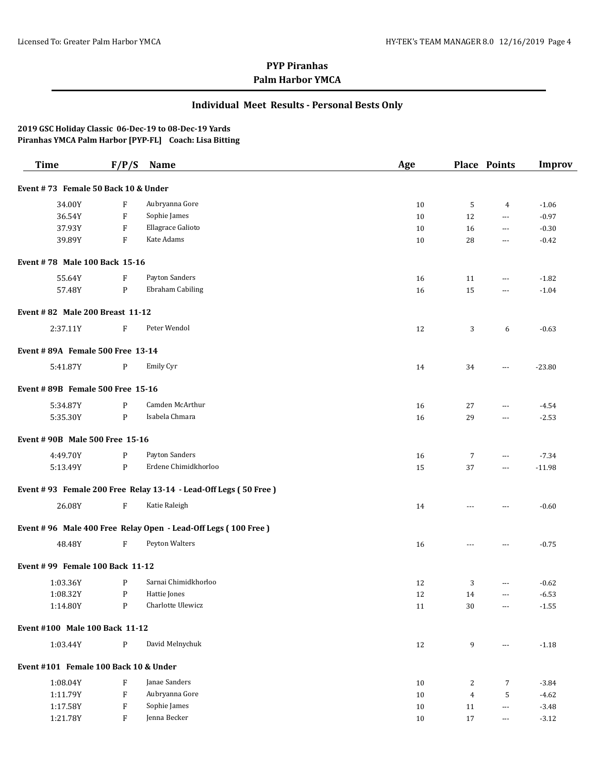### **Individual Meet Results - Personal Bests Only**

| <b>Time</b>                           | F/P/S                     | <b>Name</b>                                                     | Age    |                | <b>Place Points</b>      | <b>Improv</b> |
|---------------------------------------|---------------------------|-----------------------------------------------------------------|--------|----------------|--------------------------|---------------|
| Event #73 Female 50 Back 10 & Under   |                           |                                                                 |        |                |                          |               |
| 34.00Y                                | F                         | Aubryanna Gore                                                  | 10     | 5              | 4                        | $-1.06$       |
| 36.54Y                                | $\boldsymbol{\mathrm{F}}$ | Sophie James                                                    | 10     | 12             | $\overline{a}$           | $-0.97$       |
| 37.93Y                                | $\boldsymbol{\mathrm{F}}$ | Ellagrace Galioto                                               | 10     | 16             | $\overline{a}$           | $-0.30$       |
| 39.89Y                                | $\boldsymbol{\mathrm{F}}$ | Kate Adams                                                      | 10     | 28             | $---$                    | $-0.42$       |
| Event #78 Male 100 Back 15-16         |                           |                                                                 |        |                |                          |               |
| 55.64Y                                | F                         | Payton Sanders                                                  | 16     | 11             | ---                      | $-1.82$       |
| 57.48Y                                | $\mathbf{P}$              | Ebraham Cabiling                                                | 16     | 15             | ---                      | $-1.04$       |
| Event # 82 Male 200 Breast 11-12      |                           |                                                                 |        |                |                          |               |
| 2:37.11Y                              | F                         | Peter Wendol                                                    | 12     | 3              | 6                        | $-0.63$       |
| Event #89A Female 500 Free 13-14      |                           |                                                                 |        |                |                          |               |
| 5:41.87Y                              | P                         | Emily Cyr                                                       | 14     | 34             | ---                      | $-23.80$      |
| Event #89B Female 500 Free 15-16      |                           |                                                                 |        |                |                          |               |
| 5:34.87Y                              | P                         | Camden McArthur                                                 | 16     | 27             | $---$                    | $-4.54$       |
| 5:35.30Y                              | $\mathbf{P}$              | Isabela Chmara                                                  | 16     | 29             | $---$                    | $-2.53$       |
| Event #90B Male 500 Free 15-16        |                           |                                                                 |        |                |                          |               |
| 4:49.70Y                              | P                         | Payton Sanders                                                  | 16     | 7              | $\cdots$                 | $-7.34$       |
| 5:13.49Y                              | $\mathbf{P}$              | Erdene Chimidkhorloo                                            | 15     | 37             | $\cdots$                 | $-11.98$      |
|                                       |                           | Event #93 Female 200 Free Relay 13-14 - Lead-Off Legs (50 Free) |        |                |                          |               |
| 26.08Y                                | $\boldsymbol{\mathrm{F}}$ | Katie Raleigh                                                   | 14     | $\sim$ $\sim$  | ---                      | $-0.60$       |
|                                       |                           | Event # 96 Male 400 Free Relay Open - Lead-Off Legs (100 Free)  |        |                |                          |               |
| 48.48Y                                | $\boldsymbol{\mathrm{F}}$ | Peyton Walters                                                  | 16     | $\overline{a}$ | ---                      | $-0.75$       |
| Event #99 Female 100 Back 11-12       |                           |                                                                 |        |                |                          |               |
| 1:03.36Y                              | P                         | Sarnai Chimidkhorloo                                            | 12     | 3              | $\cdots$                 | $-0.62$       |
| 1:08.32Y                              | P                         | Hattie Jones                                                    | 12     | 14             | $\cdots$                 | $-6.53$       |
| 1:14.80Y                              | P                         | Charlotte Ulewicz                                               | 11     | $30\,$         | $\cdots$                 | $-1.55$       |
| Event #100 Male 100 Back 11-12        |                           |                                                                 |        |                |                          |               |
| 1:03.44Y                              | $\mathbf{P}$              | David Melnychuk                                                 | 12     | 9              | $\cdots$                 | $-1.18$       |
| Event #101 Female 100 Back 10 & Under |                           |                                                                 |        |                |                          |               |
| 1:08.04Y                              | $\boldsymbol{\mathrm{F}}$ | Janae Sanders                                                   | 10     | 2              | 7                        | $-3.84$       |
| 1:11.79Y                              | $\boldsymbol{\mathrm{F}}$ | Aubryanna Gore                                                  | $10\,$ | $\overline{4}$ | 5                        | $-4.62$       |
| 1:17.58Y                              | $\boldsymbol{\mathrm{F}}$ | Sophie James                                                    | $10\,$ | 11             | $\overline{\phantom{a}}$ | $-3.48$       |
| 1:21.78Y                              | F                         | Jenna Becker                                                    | $10\,$ | 17             | $\overline{\phantom{a}}$ | $-3.12$       |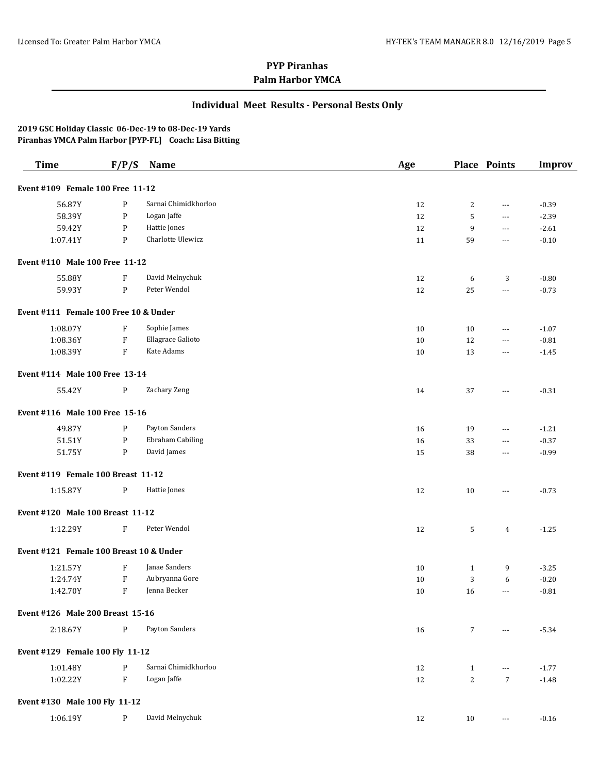### **Individual Meet Results - Personal Bests Only**

| <b>Time</b>                             | F/P/S        | Name                 | Age |                 | <b>Place Points</b>  | <b>Improv</b> |
|-----------------------------------------|--------------|----------------------|-----|-----------------|----------------------|---------------|
| Event #109 Female 100 Free 11-12        |              |                      |     |                 |                      |               |
| 56.87Y                                  | P            | Sarnai Chimidkhorloo | 12  | 2               | $---$                | $-0.39$       |
| 58.39Y                                  | P            | Logan Jaffe          | 12  | 5               | ---                  | $-2.39$       |
| 59.42Y                                  | P            | Hattie Jones         | 12  | 9               | $\overline{a}$       | $-2.61$       |
| 1:07.41Y                                | $\mathbf{P}$ | Charlotte Ulewicz    | 11  | 59              | ---                  | $-0.10$       |
| Event #110 Male 100 Free 11-12          |              |                      |     |                 |                      |               |
| 55.88Y                                  | F            | David Melnychuk      | 12  | 6               | 3                    | $-0.80$       |
| 59.93Y                                  | P            | Peter Wendol         | 12  | 25              | $\sim$ $\sim$        | $-0.73$       |
| Event #111 Female 100 Free 10 & Under   |              |                      |     |                 |                      |               |
| 1:08.07Y                                | F            | Sophie James         | 10  | 10              | ---                  | $-1.07$       |
| 1:08.36Y                                | ${\bf F}$    | Ellagrace Galioto    | 10  | 12              | ---                  | $-0.81$       |
| 1:08.39Y                                | F            | Kate Adams           | 10  | 13              | $---$                | $-1.45$       |
| Event #114 Male 100 Free 13-14          |              |                      |     |                 |                      |               |
| 55.42Y                                  | P            | Zachary Zeng         | 14  | 37              | $---$                | $-0.31$       |
| Event #116 Male 100 Free 15-16          |              |                      |     |                 |                      |               |
| 49.87Y                                  | P            | Payton Sanders       | 16  | 19              | ---                  | $-1.21$       |
| 51.51Y                                  | P            | Ebraham Cabiling     | 16  | 33              | $\overline{a}$       | $-0.37$       |
| 51.75Y                                  | P            | David James          | 15  | 38              | $---$                | $-0.99$       |
| Event #119 Female 100 Breast 11-12      |              |                      |     |                 |                      |               |
| 1:15.87Y                                | $\mathbf{P}$ | Hattie Jones         | 12  | 10              | $---$                | $-0.73$       |
| Event #120 Male 100 Breast 11-12        |              |                      |     |                 |                      |               |
| 1:12.29Y                                | $\mathbf{F}$ | Peter Wendol         | 12  | 5               | $\overline{4}$       | $-1.25$       |
| Event #121 Female 100 Breast 10 & Under |              |                      |     |                 |                      |               |
| 1:21.57Y                                | F            | Janae Sanders        | 10  | $\mathbf{1}$    | 9                    | $-3.25$       |
| 1:24.74Y                                | $\mathbf{F}$ | Aubryanna Gore       | 10  | 3               | 6                    | $-0.20$       |
| 1:42.70Y                                | F            | Jenna Becker         | 10  | 16              | ---                  | $-0.81$       |
| Event #126 Male 200 Breast 15-16        |              |                      |     |                 |                      |               |
| 2:18.67Y                                | P            | Payton Sanders       | 16  | $7\overline{ }$ | $\sim$ $\sim$ $\sim$ | $-5.34$       |
| Event #129 Female 100 Fly 11-12         |              |                      |     |                 |                      |               |
| 1:01.48Y                                | P            | Sarnai Chimidkhorloo | 12  | 1               | ---                  | $-1.77$       |
| 1:02.22Y                                | F            | Logan Jaffe          | 12  | $\overline{c}$  | $\overline{7}$       | $-1.48$       |
| Event #130 Male 100 Fly 11-12           |              |                      |     |                 |                      |               |
| 1:06.19Y                                | P            | David Melnychuk      | 12  | 10              | $\cdots$             | $-0.16$       |